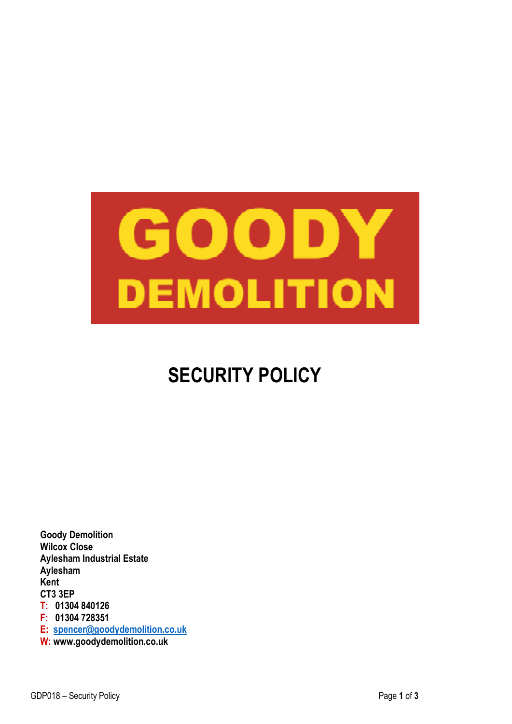

# **SECURITY POLICY**

**Goody Demolition Wilcox Close Aylesham Industrial Estate Aylesham Kent CT3 3EP T: 01304 840126 F: 01304 728351 E: spencer@goodydemolition.co.uk W: www.goodydemolition.co.uk**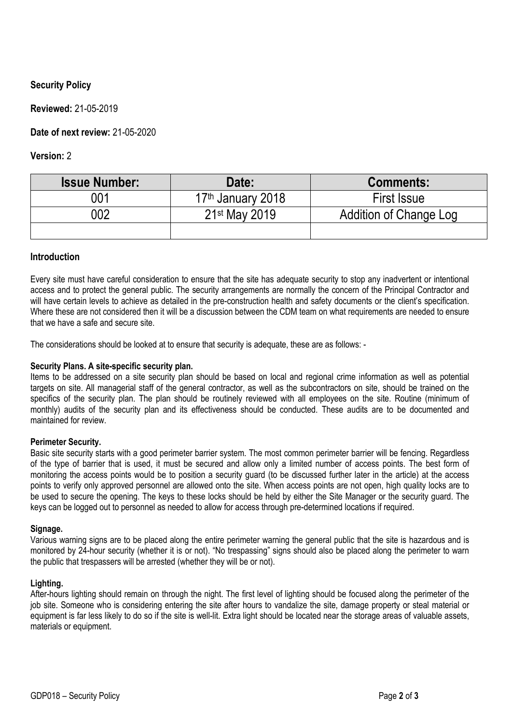## **Security Policy**

**Reviewed:** 21-05-2019

**Date of next review:** 21-05-2020

**Version:** 2

| <b>Issue Number:</b> | Date:                         | <b>Comments:</b>       |
|----------------------|-------------------------------|------------------------|
| 001                  | 17 <sup>th</sup> January 2018 | <b>First Issue</b>     |
| 002                  | 21 <sup>st</sup> May 2019     | Addition of Change Log |
|                      |                               |                        |

## **Introduction**

Every site must have careful consideration to ensure that the site has adequate security to stop any inadvertent or intentional access and to protect the general public. The security arrangements are normally the concern of the Principal Contractor and will have certain levels to achieve as detailed in the pre-construction health and safety documents or the client's specification. Where these are not considered then it will be a discussion between the CDM team on what requirements are needed to ensure that we have a safe and secure site.

The considerations should be looked at to ensure that security is adequate, these are as follows: -

#### **Security Plans. A site-specific security plan.**

Items to be addressed on a site security plan should be based on local and regional crime information as well as potential targets on site. All managerial staff of the general contractor, as well as the subcontractors on site, should be trained on the specifics of the security plan. The plan should be routinely reviewed with all employees on the site. Routine (minimum of monthly) audits of the security plan and its effectiveness should be conducted. These audits are to be documented and maintained for review.

#### **Perimeter Security.**

Basic site security starts with a good perimeter barrier system. The most common perimeter barrier will be fencing. Regardless of the type of barrier that is used, it must be secured and allow only a limited number of access points. The best form of monitoring the access points would be to position a security guard (to be discussed further later in the article) at the access points to verify only approved personnel are allowed onto the site. When access points are not open, high quality locks are to be used to secure the opening. The keys to these locks should be held by either the Site Manager or the security guard. The keys can be logged out to personnel as needed to allow for access through pre-determined locations if required.

#### **Signage.**

Various warning signs are to be placed along the entire perimeter warning the general public that the site is hazardous and is monitored by 24-hour security (whether it is or not). "No trespassing" signs should also be placed along the perimeter to warn the public that trespassers will be arrested (whether they will be or not).

#### **Lighting.**

After-hours lighting should remain on through the night. The first level of lighting should be focused along the perimeter of the job site. Someone who is considering entering the site after hours to vandalize the site, damage property or steal material or equipment is far less likely to do so if the site is well-lit. Extra light should be located near the storage areas of valuable assets, materials or equipment.